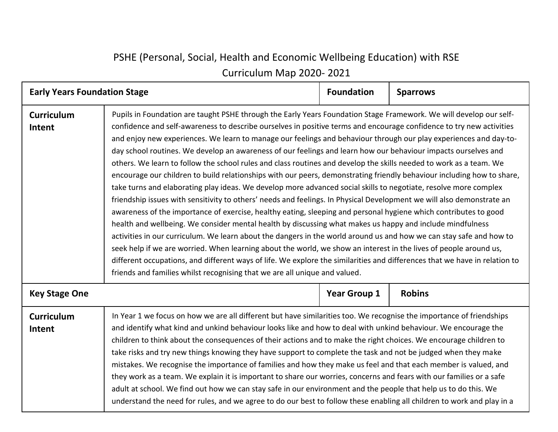## PSHE (Personal, Social, Health and Economic Wellbeing Education) with RSE Curriculum Map 2020- 2021

| <b>Early Years Foundation Stage</b> |                                                                                                                                                                                                                                                                                                                                                                                                                                                                                                                                                                                                                                                                                                                                                                                                                                                                                                                                                                                                                                                                                                                                                                                                                                                                                                                                                                                                                                                                                                                                                                                                                                                                         | <b>Foundation</b>   | <b>Sparrows</b> |  |
|-------------------------------------|-------------------------------------------------------------------------------------------------------------------------------------------------------------------------------------------------------------------------------------------------------------------------------------------------------------------------------------------------------------------------------------------------------------------------------------------------------------------------------------------------------------------------------------------------------------------------------------------------------------------------------------------------------------------------------------------------------------------------------------------------------------------------------------------------------------------------------------------------------------------------------------------------------------------------------------------------------------------------------------------------------------------------------------------------------------------------------------------------------------------------------------------------------------------------------------------------------------------------------------------------------------------------------------------------------------------------------------------------------------------------------------------------------------------------------------------------------------------------------------------------------------------------------------------------------------------------------------------------------------------------------------------------------------------------|---------------------|-----------------|--|
| <b>Curriculum</b><br>Intent         | Pupils in Foundation are taught PSHE through the Early Years Foundation Stage Framework. We will develop our self-<br>confidence and self-awareness to describe ourselves in positive terms and encourage confidence to try new activities<br>and enjoy new experiences. We learn to manage our feelings and behaviour through our play experiences and day-to-<br>day school routines. We develop an awareness of our feelings and learn how our behaviour impacts ourselves and<br>others. We learn to follow the school rules and class routines and develop the skills needed to work as a team. We<br>encourage our children to build relationships with our peers, demonstrating friendly behaviour including how to share,<br>take turns and elaborating play ideas. We develop more advanced social skills to negotiate, resolve more complex<br>friendship issues with sensitivity to others' needs and feelings. In Physical Development we will also demonstrate an<br>awareness of the importance of exercise, healthy eating, sleeping and personal hygiene which contributes to good<br>health and wellbeing. We consider mental health by discussing what makes us happy and include mindfulness<br>activities in our curriculum. We learn about the dangers in the world around us and how we can stay safe and how to<br>seek help if we are worried. When learning about the world, we show an interest in the lives of people around us,<br>different occupations, and different ways of life. We explore the similarities and differences that we have in relation to<br>friends and families whilst recognising that we are all unique and valued. |                     |                 |  |
| <b>Key Stage One</b>                |                                                                                                                                                                                                                                                                                                                                                                                                                                                                                                                                                                                                                                                                                                                                                                                                                                                                                                                                                                                                                                                                                                                                                                                                                                                                                                                                                                                                                                                                                                                                                                                                                                                                         | <b>Year Group 1</b> | <b>Robins</b>   |  |
| <b>Curriculum</b><br>Intent         | In Year 1 we focus on how we are all different but have similarities too. We recognise the importance of friendships<br>and identify what kind and unkind behaviour looks like and how to deal with unkind behaviour. We encourage the<br>children to think about the consequences of their actions and to make the right choices. We encourage children to<br>take risks and try new things knowing they have support to complete the task and not be judged when they make<br>mistakes. We recognise the importance of families and how they make us feel and that each member is valued, and<br>they work as a team. We explain it is important to share our worries, concerns and fears with our families or a safe<br>adult at school. We find out how we can stay safe in our environment and the people that help us to do this. We<br>understand the need for rules, and we agree to do our best to follow these enabling all children to work and play in a                                                                                                                                                                                                                                                                                                                                                                                                                                                                                                                                                                                                                                                                                                    |                     |                 |  |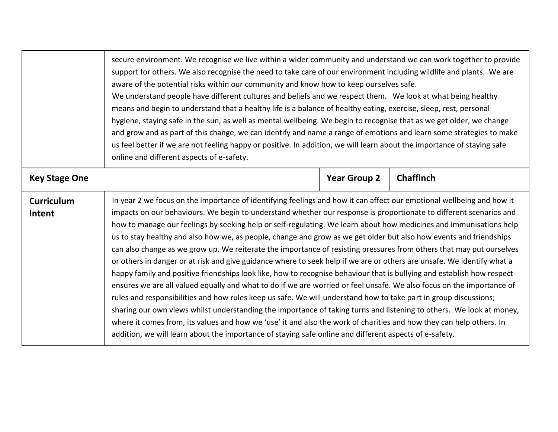|                             | secure environment. We recognise we live within a wider community and understand we can work together to provide<br>support for others. We also recognise the need to take care of our environment including wildlife and plants. We are<br>aware of the potential risks within our community and know how to keep ourselves safe.<br>We understand people have different cultures and beliefs and we respect them. We look at what being healthy<br>means and begin to understand that a healthy life is a balance of healthy eating, exercise, sleep, rest, personal<br>hygiene, staying safe in the sun, as well as mental wellbeing. We begin to recognise that as we get older, we change<br>and grow and as part of this change, we can identify and name a range of emotions and learn some strategies to make<br>us feel better if we are not feeling happy or positive. In addition, we will learn about the importance of staying safe<br>online and different aspects of e-safety.                                                                                                                                                                                                                                                                                                                                                                                                                                                                             |                     |                  |  |
|-----------------------------|---------------------------------------------------------------------------------------------------------------------------------------------------------------------------------------------------------------------------------------------------------------------------------------------------------------------------------------------------------------------------------------------------------------------------------------------------------------------------------------------------------------------------------------------------------------------------------------------------------------------------------------------------------------------------------------------------------------------------------------------------------------------------------------------------------------------------------------------------------------------------------------------------------------------------------------------------------------------------------------------------------------------------------------------------------------------------------------------------------------------------------------------------------------------------------------------------------------------------------------------------------------------------------------------------------------------------------------------------------------------------------------------------------------------------------------------------------------------------|---------------------|------------------|--|
| <b>Key Stage One</b>        |                                                                                                                                                                                                                                                                                                                                                                                                                                                                                                                                                                                                                                                                                                                                                                                                                                                                                                                                                                                                                                                                                                                                                                                                                                                                                                                                                                                                                                                                           | <b>Year Group 2</b> | <b>Chaffinch</b> |  |
| <b>Curriculum</b><br>Intent | In year 2 we focus on the importance of identifying feelings and how it can affect our emotional wellbeing and how it<br>impacts on our behaviours. We begin to understand whether our response is proportionate to different scenarios and<br>how to manage our feelings by seeking help or self-regulating. We learn about how medicines and immunisations help<br>us to stay healthy and also how we, as people, change and grow as we get older but also how events and friendships<br>can also change as we grow up. We reiterate the importance of resisting pressures from others that may put ourselves<br>or others in danger or at risk and give guidance where to seek help if we are or others are unsafe. We identify what a<br>happy family and positive friendships look like, how to recognise behaviour that is bullying and establish how respect<br>ensures we are all valued equally and what to do if we are worried or feel unsafe. We also focus on the importance of<br>rules and responsibilities and how rules keep us safe. We will understand how to take part in group discussions;<br>sharing our own views whilst understanding the importance of taking turns and listening to others. We look at money,<br>where it comes from, its values and how we 'use' it and also the work of charities and how they can help others. In<br>addition, we will learn about the importance of staying safe online and different aspects of e-safety. |                     |                  |  |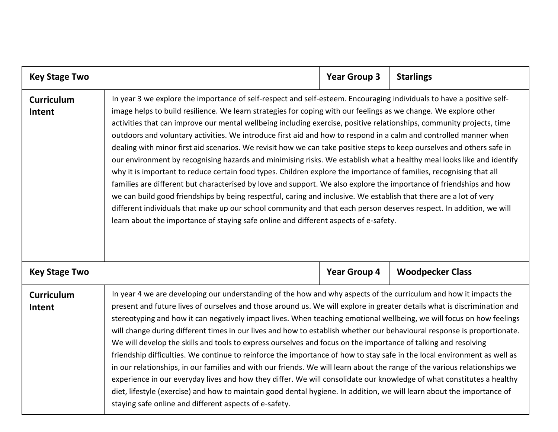| <b>Key Stage Two</b>        |                                                                                                                                                                                                                                                                                                                                                                                                                                                                                                                                                                                                                                                                                                                                                                                                                                                                                                                                                                                                                                                                                                                                                                                                                                                                                                                               | <b>Year Group 3</b> | <b>Starlings</b>        |
|-----------------------------|-------------------------------------------------------------------------------------------------------------------------------------------------------------------------------------------------------------------------------------------------------------------------------------------------------------------------------------------------------------------------------------------------------------------------------------------------------------------------------------------------------------------------------------------------------------------------------------------------------------------------------------------------------------------------------------------------------------------------------------------------------------------------------------------------------------------------------------------------------------------------------------------------------------------------------------------------------------------------------------------------------------------------------------------------------------------------------------------------------------------------------------------------------------------------------------------------------------------------------------------------------------------------------------------------------------------------------|---------------------|-------------------------|
| <b>Curriculum</b><br>Intent | In year 3 we explore the importance of self-respect and self-esteem. Encouraging individuals to have a positive self-<br>image helps to build resilience. We learn strategies for coping with our feelings as we change. We explore other<br>activities that can improve our mental wellbeing including exercise, positive relationships, community projects, time<br>outdoors and voluntary activities. We introduce first aid and how to respond in a calm and controlled manner when<br>dealing with minor first aid scenarios. We revisit how we can take positive steps to keep ourselves and others safe in<br>our environment by recognising hazards and minimising risks. We establish what a healthy meal looks like and identify<br>why it is important to reduce certain food types. Children explore the importance of families, recognising that all<br>families are different but characterised by love and support. We also explore the importance of friendships and how<br>we can build good friendships by being respectful, caring and inclusive. We establish that there are a lot of very<br>different individuals that make up our school community and that each person deserves respect. In addition, we will<br>learn about the importance of staying safe online and different aspects of e-safety. |                     |                         |
| <b>Key Stage Two</b>        |                                                                                                                                                                                                                                                                                                                                                                                                                                                                                                                                                                                                                                                                                                                                                                                                                                                                                                                                                                                                                                                                                                                                                                                                                                                                                                                               | <b>Year Group 4</b> | <b>Woodpecker Class</b> |
| Curriculum<br>Intent        | In year 4 we are developing our understanding of the how and why aspects of the curriculum and how it impacts the<br>present and future lives of ourselves and those around us. We will explore in greater details what is discrimination and<br>stereotyping and how it can negatively impact lives. When teaching emotional wellbeing, we will focus on how feelings<br>will change during different times in our lives and how to establish whether our behavioural response is proportionate.<br>We will develop the skills and tools to express ourselves and focus on the importance of talking and resolving<br>friendship difficulties. We continue to reinforce the importance of how to stay safe in the local environment as well as<br>in our relationships, in our families and with our friends. We will learn about the range of the various relationships we<br>experience in our everyday lives and how they differ. We will consolidate our knowledge of what constitutes a healthy<br>diet, lifestyle (exercise) and how to maintain good dental hygiene. In addition, we will learn about the importance of<br>staying safe online and different aspects of e-safety.                                                                                                                                     |                     |                         |